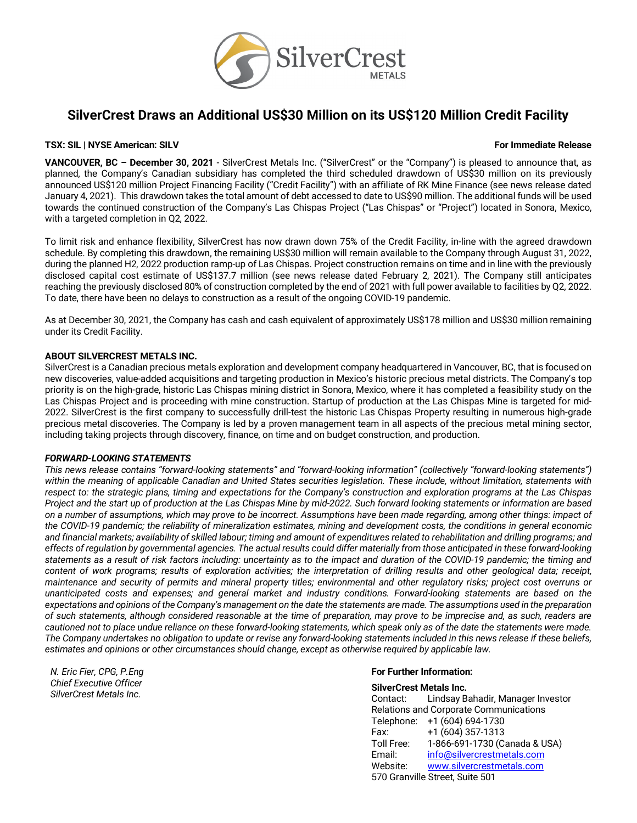

# **SilverCrest Draws an Additional US\$30 Million on its US\$120 Million Credit Facility**

#### **TSX: SIL | NYSE American: SILV For Immediate Release**

**VANCOUVER, BC – December 30, 2021** - SilverCrest Metals Inc. ("SilverCrest" or the "Company") is pleased to announce that, as planned, the Company's Canadian subsidiary has completed the third scheduled drawdown of US\$30 million on its previously announced US\$120 million Project Financing Facility ("Credit Facility") with an affiliate of RK Mine Finance (see news release dated January 4, 2021). This drawdown takes the total amount of debt accessed to date to US\$90 million. The additional funds will be used towards the continued construction of the Company's Las Chispas Project ("Las Chispas" or "Project") located in Sonora, Mexico, with a targeted completion in Q2, 2022.

To limit risk and enhance flexibility, SilverCrest has now drawn down 75% of the Credit Facility, in-line with the agreed drawdown schedule. By completing this drawdown, the remaining US\$30 million will remain available to the Company through August 31, 2022, during the planned H2, 2022 production ramp-up of Las Chispas. Project construction remains on time and in line with the previously disclosed capital cost estimate of US\$137.7 million (see news release dated February 2, 2021). The Company still anticipates reaching the previously disclosed 80% of construction completed by the end of 2021 with full power available to facilities by Q2, 2022. To date, there have been no delays to construction as a result of the ongoing COVID-19 pandemic.

As at December 30, 2021, the Company has cash and cash equivalent of approximately US\$178 million and US\$30 million remaining under its Credit Facility.

### **ABOUT SILVERCREST METALS INC.**

SilverCrest is a Canadian precious metals exploration and development company headquartered in Vancouver, BC, that is focused on new discoveries, value-added acquisitions and targeting production in Mexico's historic precious metal districts. The Company's top priority is on the high-grade, historic Las Chispas mining district in Sonora, Mexico, where it has completed a feasibility study on the Las Chispas Project and is proceeding with mine construction. Startup of production at the Las Chispas Mine is targeted for mid-2022. SilverCrest is the first company to successfully drill-test the historic Las Chispas Property resulting in numerous high-grade precious metal discoveries. The Company is led by a proven management team in all aspects of the precious metal mining sector, including taking projects through discovery, finance, on time and on budget construction, and production.

#### *FORWARD-LOOKING STATEMENTS*

*This news release contains "forward-looking statements" and "forward-looking information" (collectively "forward-looking statements") within the meaning of applicable Canadian and United States securities legislation. These include, without limitation, statements with respect to: the strategic plans, timing and expectations for the Company's construction and exploration programs at the Las Chispas Project and the start up of production at the Las Chispas Mine by mid-2022. Such forward looking statements or information are based on a number of assumptions, which may prove to be incorrect. Assumptions have been made regarding, among other things: impact of the COVID-19 pandemic; the reliability of mineralization estimates, mining and development costs, the conditions in general economic and financial markets; availability of skilled labour; timing and amount of expenditures related to rehabilitation and drilling programs; and effects of regulation by governmental agencies. The actual results could differ materially from those anticipated in these forward-looking statements as a result of risk factors including: uncertainty as to the impact and duration of the COVID-19 pandemic; the timing and content of work programs; results of exploration activities; the interpretation of drilling results and other geological data; receipt, maintenance and security of permits and mineral property titles; environmental and other regulatory risks; project cost overruns or unanticipated costs and expenses; and general market and industry conditions. Forward-looking statements are based on the expectations and opinions of the Company's management on the date the statements are made. The assumptions used in the preparation of such statements, although considered reasonable at the time of preparation, may prove to be imprecise and, as such, readers are cautioned not to place undue reliance on these forward-looking statements, which speak only as of the date the statements were made. The Company undertakes no obligation to update or revise any forward-looking statements included in this news release if these beliefs, estimates and opinions or other circumstances should change, except as otherwise required by applicable law.*

*N. Eric Fier, CPG, P.Eng Chief Executive Officer SilverCrest Metals Inc.*

# **For Further Information:**

# **SilverCrest Metals Inc.**

Contact: Lindsay Bahadir, Manager Investor Relations and Corporate Communications Telephone: +1 (604) 694-1730 Fax: +1 (604) 357-1313 Toll Free: 1-866-691-1730 (Canada & USA) Email: info@silvercrestmetals.com Website: [www.silvercrestmetals.com](http://www.silvercrestmetals.com/) 570 Granville Street, Suite 501